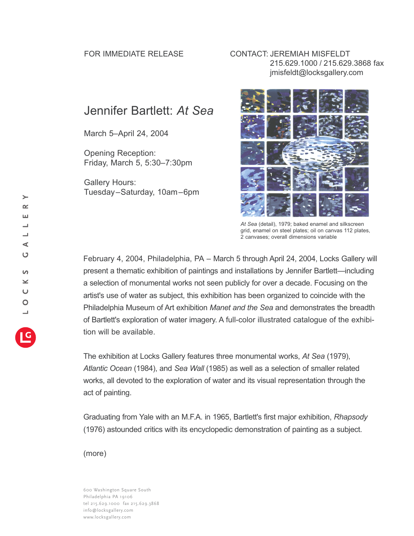## FOR IMMEDIATE RELEASE CONTACT: JEREMIAH MISFELDT 215.629.1000 / 215.629.3868 fax jmisfeldt@locksgallery.com

## Jennifer Bartlett: *At Sea*

March 5–April 24, 2004

Opening Reception: Friday, March 5, 5:30–7:30pm

Gallery Hours: Tuesday–Saturday, 10am–6pm



*At Sea* (detail), 1979; baked enamel and silkscreen grid, enamel on steel plates; oil on canvas 112 plates, 2 canvases; overall dimensions variable

February 4, 2004, Philadelphia, PA *–* March 5 through April 24, 2004, Locks Gallery will present a thematic exhibition of paintings and installations by Jennifer Bartlett—including a selection of monumental works not seen publicly for over a decade. Focusing on the artist's use of water as subject, this exhibition has been organized to coincide with the Philadelphia Museum of Art exhibition *Manet and the Sea* and demonstrates the breadth of Bartlett's exploration of water imagery. A full-color illustrated catalogue of the exhibition will be available.

The exhibition at Locks Gallery features three monumental works, *At Sea* (1979), *Atlantic Ocean* (1984), and *Sea Wall* (1985) as well as a selection of smaller related works, all devoted to the exploration of water and its visual representation through the act of painting.

Graduating from Yale with an M.F.A. in 1965, Bartlett's first major exhibition, *Rhapsody* (1976) astounded critics with its encyclopedic demonstration of painting as a subject.

(more)

600 Washington Square South Philadelphia PA 19106 tel 215.629.1000 fax 215.629.3868 info@locksgallery.com www.locksgallery.com